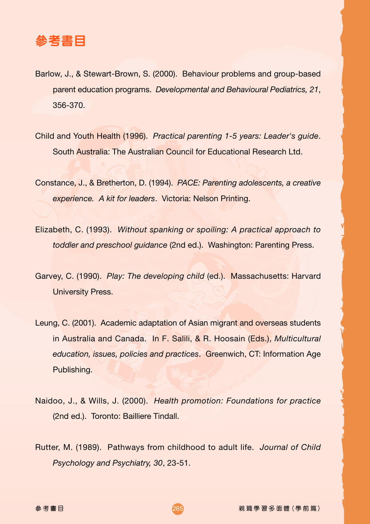

- Barlow, J., & Stewart-Brown, S. (2000). Behaviour problems and group-based parent education programs. *Developmental and Behavioural Pediatrics, 21*, 356-370.
- Child and Youth Health (1996). *Practical parenting 1-5 years: Leader's guide*. South Australia: The Australian Council for Educational Research Ltd.
- Constance, J., & Bretherton, D. (1994). *PACE: Parenting adolescents, a creative experience. A kit for leaders*. Victoria: Nelson Printing.
- Elizabeth, C. (1993). *Without spanking or spoiling: A practical approach to toddler and preschool guidance* (2nd ed.). Washington: Parenting Press.
- Garvey, C. (1990). *Play: The developing child* (ed.). Massachusetts: Harvard University Press.
- Leung, C. (2001). Academic adaptation of Asian migrant and overseas students in Australia and Canada. In F. Salili, & R. Hoosain (Eds.), *Multicultural education, issues, policies and practices*. Greenwich, CT: Information Age Publishing.
- Naidoo, J., & Wills, J. (2000). *Health promotion: Foundations for practice* (2nd ed.). Toronto: Bailliere Tindall.
- Rutter, M. (1989). Pathways from childhood to adult life. *Journal of Child Psychology and Psychiatry, 30*, 23-51.

 ! 265 -親職學習多面體 (學前篇)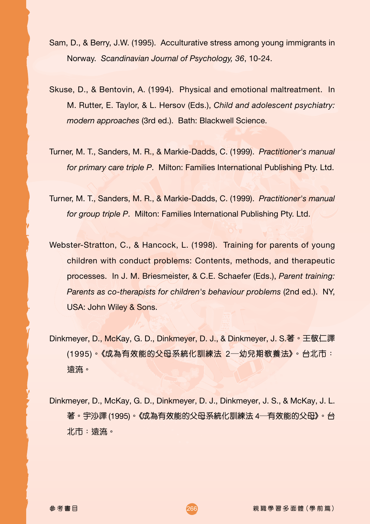- Sam, D., & Berry, J.W. (1995). Acculturative stress among young immigrants in Norway. *Scandinavian Journal of Psychology, 36*, 10-24.
- Skuse, D., & Bentovin, A. (1994). Physical and emotional maltreatment. In M. Rutter, E. Taylor, & L. Hersov (Eds.), *Child and adolescent psychiatry: modern approaches* (3rd ed.). Bath: Blackwell Science.
- Turner, M. T., Sanders, M. R., & Markie-Dadds, C. (1999). *Practitioner's manual for primary care triple P*. Milton: Families International Publishing Pty. Ltd.
- Turner, M. T., Sanders, M. R., & Markie-Dadds, C. (1999). *Practitioner's manual for group triple P*. Milton: Families International Publishing Pty. Ltd.
- Webster-Stratton, C., & Hancock, L. (1998). Training for parents of young children with conduct problems: Contents, methods, and therapeutic processes. In J. M. Briesmeister, & C.E. Schaefer (Eds.), *Parent training: Parents as co-therapists for children's behaviour problems* (2nd ed.). NY, USA: John Wiley & Sons.
- Dinkmeyer, D., McKay, G. D., Dinkmeyer, D. J., & Dinkmeyer, J. S.著。王敬仁譯 (1995)- !"#\$%&'()\*+,-= O- !"#\$%&'()\* 遠流。
- Dinkmeyer, D., McKay, G. D., Dinkmeyer, D. J., Dinkmeyer, J. S., & McKay, J. L. 著。宇沙譯 (1995)。《成為有效能的父母系統化訓練法 4—有效能的父母<mark>》</mark>。台 北市:遠流。

参考書日